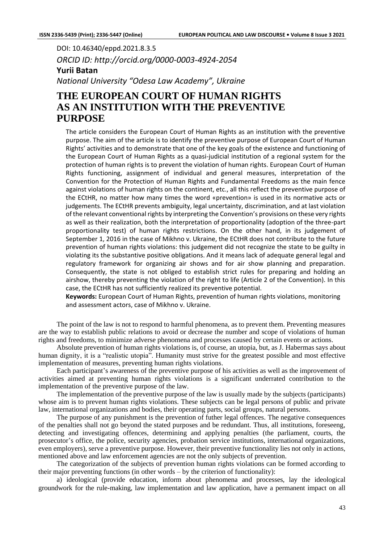DOI: 10.46340/eppd.2021.8.3.5 *ORCID ID: http://orcid.org/0000-0003-4924-2054* **Yurii Batan** *National University "Odesa Law Academy", Ukraine*

# **THE EUROPEAN COURT OF HUMAN RIGHTS AS AN INSTITUTION WITH THE PREVENTIVE PURPOSE**

The article considers the European Court of Human Rights as an institution with the preventive purpose. The aim of the article is to identify the preventive purpose of European Court of Human Rights' activities and to demonstrate that one of the key goals of the existence and functioning of the European Court of Human Rights as a quasi-judicial institution of a regional system for the protection of human rights is to prevent the violation of human rights. European Court of Human Rights functioning, assignment of individual and general measures, interpretation of the Convention for the Protection of Human Rights and Fundamental Freedoms as the main fence against violations of human rights on the continent, etc., all this reflect the preventive purpose of the ECtHR, no matter how many times the word «prevention» is used in its normative acts or judgements. The ECtHR prevents ambiguity, legal uncertainty, discrimination, and at last violation of the relevant conventional rights by interpreting the Convention's provisions on these very rights as well as their realization, both the interpretation of proportionality (adoption of the three-part proportionality test) of human rights restrictions. On the other hand, in its judgement of September 1, 2016 in the case of Mikhno v. Ukraine, the ECtHR does not contribute to the future prevention of human rights violations: this judgement did not recognize the state to be guilty in violating its the substantive positive obligations. And it means lack of adequate general legal and regulatory framework for organizing air shows and for air show planning and preparation. Consequently, the state is not obliged to establish strict rules for preparing and holding an airshow, thereby preventing the violation of the right to life (Article 2 of the Convention). In this case, the ECtHR has not sufficiently realized its preventive potential.

**Keywords:** European Court of Human Rights, prevention of human rights violations, monitoring and assessment actors, case of Mikhno v. Ukraine.

The point of the law is not to respond to harmful phenomena, as to prevent them. Preventing measures are the way to establish public relations to avoid or decrease the number and scope of violations of human rights and freedoms, to minimize adverse phenomena and processes caused by certain events or actions.

Absolute prevention of human rights violations is, of course, an utopia, but, as J. Habermas says about human dignity, it is a "realistic utopia". Humanity must strive for the greatest possible and most effective implementation of measures, preventing human rights violations.

Each participant's awareness of the preventive purpose of his activities as well as the improvement of activities aimed at preventing human rights violations is a significant underrated contribution to the implementation of the preventive purpose of the law.

The implementation of the preventive purpose of the law is usually made by the subjects (participants) whose aim is to prevent human rights violations. These subjects can be legal persons of public and private law, international organizations and bodies, their operating parts, social groups, natural persons.

The purpose of any punishment is the prevention of futher legal offences. The negative consequences of the penalties shall not go beyond the stated purposes and be redundant. Thus, all institutions, foreseeng, detecting and investigating offences, determining and applying penalties (the parliament, courts, the prosecutor's office, the police, security agencies, probation service institutions, international organizations, even employers), serve a preventive purpose. However, their preventive functionality lies not only in actions, mentioned above and law enforcement agencies are not the only subjects of prevention.

The categorization of the subjects of prevention human rights violations can be formed according to their major preventing functions (in other words – by the criterion of functionality):

a) ideological (provide education, inform about phenomena and processes, lay the ideological groundwork for the rule-making, law implementation and law application, have a permanent impact on all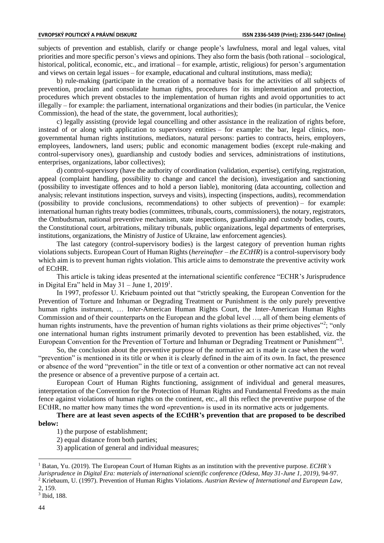subjects of prevention and establish, clarify or change people's lawfulness, moral and legal values, vital priorities and more specific person's views and opinions. They also form the basis (both rational – sociological, historical, political, economic, etc., and irrational – for example, artistic, religious) for person's argumentation and views on certain legal issues – for example, educational and cultural institutions, mass media);

b) rule-making (participate in the creation of a normative basis for the activities of all subjects of prevention, proclaim and consolidate human rights, procedures for its implementation and protection, procedures which prevent obstacles to the implementation of human rights and avoid opportunities to act illegally – for example: the parliament, international organizations and their bodies (in particular, the Venice Commission), the head of the state, the government, local authorities);

c) legally assisting (provide legal councelling and other assistance in the realization of rights before, instead of or along with application to supervisory entities – for example: the bar, legal clinics, nongovernmental human rights institutions, mediators, natural persons: parties to contracts, heirs, employers, employees, landowners, land users; public and economic management bodies (except rule-making and control-supervisory ones), guardianship and custody bodies and services, administrations of institutions, enterprises, organizations, labor collectives);

d) control-supervisory (have the authority of coordination (validation, expertise), certifying, registration, appeal (complaint handling, possibility to change and cancel the decision), investigation and sanctioning (possibility to investigate offences and to hold a person liable), monitoring (data accounting, collection and analysis; relevant institutions inspection, surveys and visits), inspecting (inspections, audits), recommendation (possibility to provide conclusions, recommendations) to other subjects of prevention) – for example: international human rights treaty bodies (committees, tribunals, courts, commissioners), the notary, registrators, the Ombudsman, national preventive mechanism, state inspections, guardianship and custody bodies, courts, the Constitutional court, arbitrations, military tribunals, public organizations, legal departments of enterprises, institutions, organizations, the Ministry of Justice of Ukraine, law enforcement agencies).

The last category (control-supervisory bodies) is the largest category of prevention human rights violations subjects. European Court of Human Rights (*hereinafter – the ECtHR*) is a control-supervisory body which aim is to prevent human rights violation. This article aims to demonstrate the preventive activity work of ECtHR.

This article is taking ideas presented at the international scientific conference "ECHR's Jurisprudence in Digital Era" held in May  $31 -$  June 1, 2019<sup>1</sup>.

In 1997, professor U. Kriebaum pointed out that "strictly speaking, the European Convention for the Prevention of Torture and Inhuman or Degrading Treatment or Punishment is the only purely preventive human rights instrument, … Inter-American Human Rights Court, the Inter-American Human Rights Commission and of their counterparts on the European and the global level …, all of them being elements of human rights instruments, have the prevention of human rights violations as their prime objectives"<sup>2</sup>; "only one international human rights instrument primarily devoted to prevention has been established, viz. the European Convention for the Prevention of Torture and Inhuman or Degrading Treatment or Punishment"<sup>3</sup>.

So, the conclusion about the preventive purpose of the normative act is made in case when the word "prevention" is mentioned in its title or when it is clearly defined in the aim of its own. In fact, the presence or absence of the word "prevention" in the title or text of a convention or other normative act can not reveal the presence or absence of a preventive purpose of a certain act.

European Court of Human Rights functioning, assignment of individual and general measures, interpretation of the Convention for the Protection of Human Rights and Fundamental Freedoms as the main fence against violations of human rights on the continent, etc., all this reflect the preventive purpose of the ECtHR, no matter how many times the word «prevention» is used in its normative acts or judgements.

**There are at least seven aspects of the ECtHR's prevention that are proposed to be described below:**

- 1) the purpose of establishment;
- 2) equal distance from both parties:
- 3) application of general and individual measures;

2, 159.

<sup>1</sup> Batan, Yu. (2019). The European Court of Human Rights as an institution with the preventive purpose. *ECHR's Jurisprudence in Digital Era: materials of international scientific conference (Odesa, May 31-June 1, 2019)*, 94-97.

<sup>2</sup> Kriebaum, U. (1997). Prevention of Human Rights Violations. *Austrian Review of International and European Law,*

<sup>3</sup> Ibid, 188.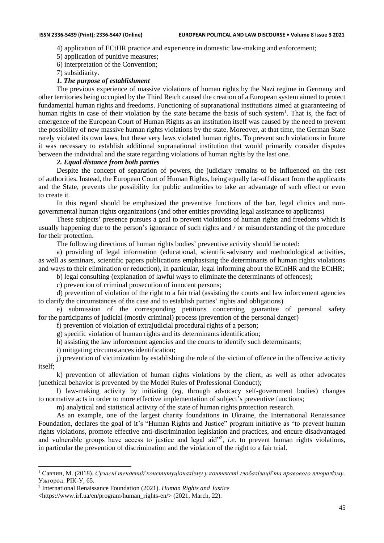4) application of ECtHR practice and experience in domestic law-making and enforcement;

5) application of punitive measures;

6) interpretation of the Convention;

7) subsidiarity.

## *1. The purpose of establishment*

The previous experience of massive violations of human rights by the Nazi regime in Germany and other territories being occupied by the Third Reich caused the creation of a European system aimed to protect fundamental human rights and freedoms. Functioning of supranational institutions aimed at guaranteeing of human rights in case of their violation by the state became the basis of such system<sup>1</sup>. That is, the fact of emergence of the European Court of Human Rights as an institution itself was caused by the need to prevent the possibility of new massive human rights violations by the state. Moreover, at that time, the German State rarely violated its own laws, but these very laws violated human rights. To prevent such violations in future it was necessary to establish additional supranational institution that would primarily consider disputes between the individual and the state regarding violations of human rights by the last one.

## *2. Equal distance from both parties*

Despite the concept of separation of powers, the judiciary remains to be influenced on the rest of authorities. Instead, the European Court of Human Rights, being equally far-off distant from the applicants and the State, prevents the possibility for public authorities to take an advantage of such effect or even to create it.

In this regard should be emphasized the preventive functions of the bar, legal clinics and nongovernmental human rights organizations (and other entities providing legal assistance to applicants)

These subjects' presence pursues a goal to prevent violations of human rights and freedoms which is usually happening due to the person's ignorance of such rights and / or misunderstanding of the procedure for their protection.

The following directions of human rights bodies' preventive activity should be noted:

a) providing of legal information (educational, scientific-advisory and methodological activities, as well as seminars, scientific papers publications emphasising the determinants of human rights violations and ways to their elimination or reduction), in particular, legal informing about the ECnHR and the ECtHR;

b) legal consulting (explanation of lawful ways to eliminate the determinants of offences);

c) prevention of criminal prosecution of innocent persons;

d) prevention of violation of the right to a fair trial (assisting the courts and law inforcement agencies to clarify the circumstances of the case and to establish parties' rights and obligations)

e) submission of the corresponding petitions concerning guarantee of personal safety for the participants of judicial (mostly criminal) process (prevention of the personal danger)

f) prevention of violation of extrajudicial procedural rights of a person;

g) specific violation of human rights and its determinants identification;

h) assisting the law inforcement agencies and the courts to identify such determinants;

i) mitigating circumstances identification;

j) prevention of victimization by establishing the role of the victim of offence in the offencive activity itself;

k) prevention of alleviation of human rights violations by the client, as well as other advocates (unethical behavior is prevented by the Model Rules of Professional Conduct);

l) law-making activity by initiating (*eg*, through advocacy self-government bodies) changes to normative acts in order to more effective implementation of subject's preventive functions;

m) analytical and statistical activity of the state of human rights protection research.

As an example, one of the largest charity foundations in Ukraine, the International Renaissance Foundation, declares the goal of it's "Human Rights and Justice" program initiative as "to prevent human rights violations, promote effective anti-discrimination legislation and practices, and encure disadvantaged and vulnerable groups have access to justice and legal aid"<sup>2</sup>, *i.e.* to prevent human rights violations, in particular the prevention of discrimination and the violation of the right to a fair trial.

<sup>1</sup> Савчин, М. (2018). *Сучасні тенденції конституціоналізму у контексті глобалізації та правового плюралізму*. Ужгород: РІК-У, 65.

<sup>2</sup> International Renaissance Foundation (2021). *Human Rights and Justice*

<sup>&</sup>lt;https://www.irf.ua/en/program/human\_rights-en/> (2021, March, 22).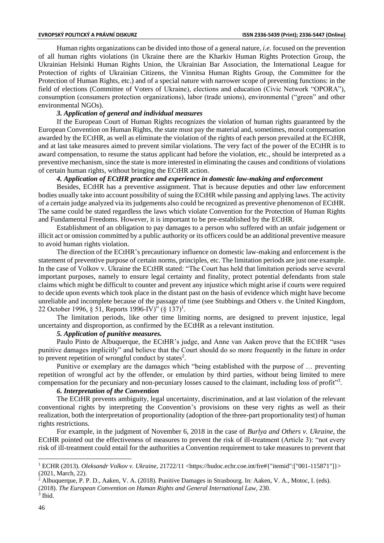Human rights organizations can be divided into those of a general nature, *i.e.* focused on the prevention of all human rights violations (in Ukraine there are the Kharkiv Human Rights Protection Group, the Ukrainian Helsinki Human Rights Union, the Ukrainian Bar Association, the International League for Protection of rights of Ukrainian Citizens, the Vinnitsa Human Rights Group, the Committee for the Protection of Human Rights, etc.) and of a special nature with narrower scope of preventing functions: in the field of elections (Committee of Voters of Ukraine), elections and education (Civic Network "OPORA"), consumption (consumers protection organizations), labor (trade unions), environmental ("green" and other environmental NGOs).

# *3. Application of general and individual measures*

If the European Court of Human Rights recognizes the violation of human rights guaranteed by the European Convention on Human Rights, the state must pay the material and, sometimes, moral compensation awarded by the ECtHR, as well as eliminate the violation of the rights of each person prevailed at the ECtHR, and at last take measures aimed to prevent similar violations. The very fact of the power of the ECtHR is to award compensation, to resume the status applicant had before the violation, etc., should be interpreted as a preventive mechanism, since the state is more interested in eliminating the causes and conditions of violations of certain human rights, without bringing the ECtHR action.

#### *4. Application of ECtHR practice and experience in domestic law-making and enforcement*

Besides, ECtHR has a preventive assignment. That is because deputies and other law enforcement bodies usually take into account possibility of suing the ECtHR while passing and applying laws. The activity of a certain judge analyzed via its judgements also could be recognized as preventive phenomenon of ECtHR. The same could be stated regardless the laws which violate Convention for the Protection of Human Rights and Fundamental Freedoms. However, it is important to be pre-established by the ECtHR.

Establishment of an obligation to pay damages to a person who suffered with an unfair judgement or illicit act or omission committed by a public authority or its officers could be an additional preventive measure to avoid human rights violation.

The direction of the ECtHR's precautionary influence on domestic law-making and enforcement is the statement of preventive purpose of certain norms, principles, etc. The limitation periods are just one example. In the case of Volkov v. Ukraine the ECtHR stated: "The Court has held that limitation periods serve several important purposes, namely to ensure legal certainty and finality, protect potential defendants from stale claims which might be difficult to counter and prevent any injustice which might arise if courts were required to decide upon events which took place in the distant past on the basis of evidence which might have become unreliable and incomplete because of the passage of time (see Stubbings and Others v. the United Kingdom, 22 October 1996, § 51, Reports 1996-IV)" (§ 137)<sup>1</sup>.

The limitation periods, like other time limiting norms, are designed to prevent injustice, legal uncertainty and disproportion, as confirmed by the ECtHR as a relevant institution.

#### *5. Application of punitive measures.*

Paulo Pinto de Albuquerque, the ECtHR's judge, and Anne van Aaken prove that the ECtHR "uses punitive damages implicitly" and believe that the Court should do so more frequently in the future in order to prevent repetition of wrongful conduct by states<sup>2</sup>.

Punitive or exemplary are the damages which "being established with the purpose of … preventing repetition of wrongful act by the offender, or emulation by third parties, without being limited to mere compensation for the pecuniary and non-pecuniary losses caused to the claimant, including loss of profit"<sup>3</sup>.

#### *6. Interpretation of the Convention*

The ECtHR prevents ambiguity, legal uncertainty, discrimination, and at last violation of the relevant conventional rights by interpreting the Convention's provisions on these very rights as well as their realization, both the interpretation of proportionality (adoption of the three-part proportionality test) of human rights restrictions.

For example, in the judgment of November 6, 2018 in the case of *Burlya and Others v. Ukraine*, the ECtHR pointed out the effectiveness of measures to prevent the risk of ill-treatment (Article 3): "not every risk of ill-treatment could entail for the authorities a Convention requirement to take measures to prevent that

<sup>1</sup> ECHR (2013). *Oleksandr Volkov v. Ukraine*, 21722/11 <https://hudoc.echr.coe.int/fre#{"itemid":["001-115871"]}> (2021, March, 22).

 $2$  Albuquerque, P. P. D., Aaken, V. A. (2018). Punitive Damages in Strasbourg. In: Aaken, V. A., Motoc, I. (eds).

<sup>(2018).</sup> *The European Convention on Human Rights and General International Law,* 230. 3 Ibid.